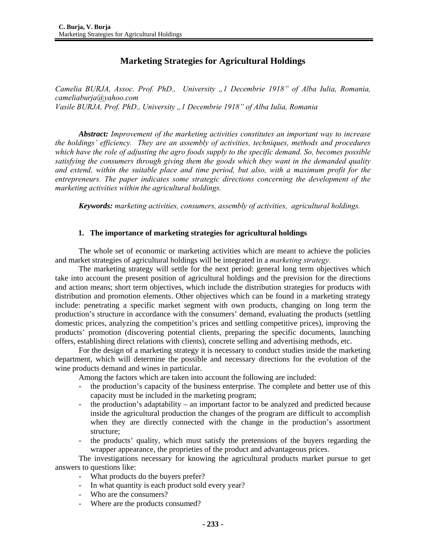# **Marketing Strategies for Agricultural Holdings**

*Camelia BURJA, Assoc. Prof. PhD., University "1 Decembrie 1918" of Alba Iulia, Romania, cameliaburja@yahoo.com Vasile BURJA, Prof. PhD., University "1 Decembrie 1918" of Alba Iulia, Romania* 

*Abstract: Improvement of the marketing activities constitutes an important way to increase the holdings' efficiency. They are an assembly of activities, techniques, methods and procedures which have the role of adjusting the agro foods supply to the specific demand. So, becomes possible satisfying the consumers through giving them the goods which they want in the demanded quality and extend, within the suitable place and time period, but also, with a maximum profit for the entrepreneurs. The paper indicates some strategic directions concerning the development of the marketing activities within the agricultural holdings.* 

*Keywords: marketing activities, consumers, assembly of activities, agricultural holdings.* 

#### **1. The importance of marketing strategies for agricultural holdings**

The whole set of economic or marketing activities which are meant to achieve the policies and market strategies of agricultural holdings will be integrated in a *marketing strategy.*

The marketing strategy will settle for the next period: general long term objectives which take into account the present position of agricultural holdings and the prevision for the directions and action means; short term objectives, which include the distribution strategies for products with distribution and promotion elements. Other objectives which can be found in a marketing strategy include: penetrating a specific market segment with own products, changing on long term the production's structure in accordance with the consumers' demand, evaluating the products (settling domestic prices, analyzing the competition's prices and settling competitive prices), improving the products' promotion (discovering potential clients, preparing the specific documents, launching offers, establishing direct relations with clients), concrete selling and advertising methods, etc.

For the design of a marketing strategy it is necessary to conduct studies inside the marketing department, which will determine the possible and necessary directions for the evolution of the wine products demand and wines in particular.

Among the factors which are taken into account the following are included:

- the production's capacity of the business enterprise. The complete and better use of this capacity must be included in the marketing program;
- the production's adaptability an important factor to be analyzed and predicted because inside the agricultural production the changes of the program are difficult to accomplish when they are directly connected with the change in the production's assortment structure;
- the products' quality, which must satisfy the pretensions of the buyers regarding the wrapper appearance, the proprieties of the product and advantageous prices.

The investigations necessary for knowing the agricultural products market pursue to get answers to questions like:

- What products do the buyers prefer?
- In what quantity is each product sold every year?
- Who are the consumers?
- Where are the products consumed?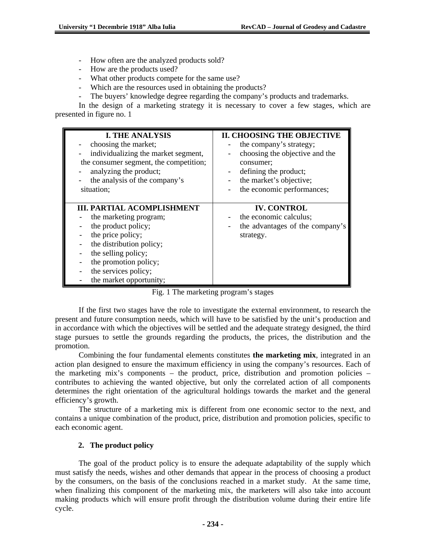- How often are the analyzed products sold?
- How are the products used?
- What other products compete for the same use?
- Which are the resources used in obtaining the products?
- The buyers' knowledge degree regarding the company's products and trademarks.

In the design of a marketing strategy it is necessary to cover a few stages, which are presented in figure no. 1

| <b>I. THE ANALYSIS</b>                                                                                                                                                                                                                 | <b>II. CHOOSING THE OBJECTIVE</b>                                                                                        |
|----------------------------------------------------------------------------------------------------------------------------------------------------------------------------------------------------------------------------------------|--------------------------------------------------------------------------------------------------------------------------|
| choosing the market;                                                                                                                                                                                                                   | the company's strategy;                                                                                                  |
| individualizing the market segment,                                                                                                                                                                                                    | choosing the objective and the                                                                                           |
| the consumer segment, the competition;                                                                                                                                                                                                 | consumer:                                                                                                                |
| analyzing the product;                                                                                                                                                                                                                 | defining the product;                                                                                                    |
| the analysis of the company's                                                                                                                                                                                                          | the market's objective;                                                                                                  |
| situation;                                                                                                                                                                                                                             | the economic performances;                                                                                               |
| <b>III. PARTIAL ACOMPLISHMENT</b><br>the marketing program;<br>the product policy;<br>the price policy;<br>the distribution policy;<br>the selling policy;<br>the promotion policy;<br>the services policy;<br>the market opportunity; | <b>IV. CONTROL</b><br>the economic calculus;<br>the advantages of the company's<br>$\overline{\phantom{a}}$<br>strategy. |

Fig. 1 The marketing program's stages

If the first two stages have the role to investigate the external environment, to research the present and future consumption needs, which will have to be satisfied by the unit's production and in accordance with which the objectives will be settled and the adequate strategy designed, the third stage pursues to settle the grounds regarding the products, the prices, the distribution and the promotion.

Combining the four fundamental elements constitutes **the marketing mix**, integrated in an action plan designed to ensure the maximum efficiency in using the company's resources. Each of the marketing mix's components – the product, price, distribution and promotion policies – contributes to achieving the wanted objective, but only the correlated action of all components determines the right orientation of the agricultural holdings towards the market and the general efficiency's growth.

The structure of a marketing mix is different from one economic sector to the next, and contains a unique combination of the product, price, distribution and promotion policies, specific to each economic agent.

## **2. The product policy**

The goal of the product policy is to ensure the adequate adaptability of the supply which must satisfy the needs, wishes and other demands that appear in the process of choosing a product by the consumers, on the basis of the conclusions reached in a market study. At the same time, when finalizing this component of the marketing mix, the marketers will also take into account making products which will ensure profit through the distribution volume during their entire life cycle.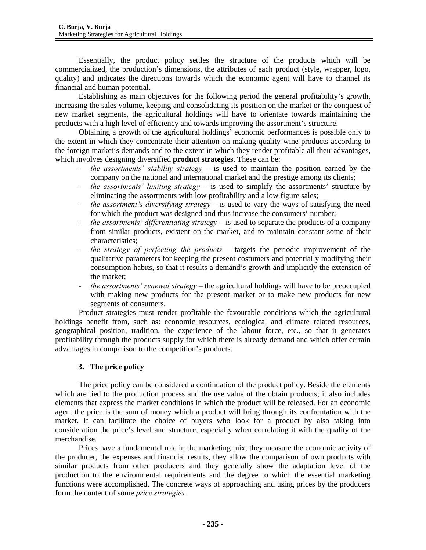Essentially, the product policy settles the structure of the products which will be commercialized, the production's dimensions, the attributes of each product (style, wrapper, logo, quality) and indicates the directions towards which the economic agent will have to channel its financial and human potential.

Establishing as main objectives for the following period the general profitability's growth, increasing the sales volume, keeping and consolidating its position on the market or the conquest of new market segments, the agricultural holdings will have to orientate towards maintaining the products with a high level of efficiency and towards improving the assortment's structure.

Obtaining a growth of the agricultural holdings' economic performances is possible only to the extent in which they concentrate their attention on making quality wine products according to the foreign market's demands and to the extent in which they render profitable all their advantages, which involves designing diversified **product strategies**. These can be:

- *the assortments' stability strategy* is used to maintain the position earned by the company on the national and international market and the prestige among its clients;
- *the assortments' limiting strategy* is used to simplify the assortments' structure by eliminating the assortments with low profitability and a low figure sales;
- *the assortment's diversifying strategy* is used to vary the ways of satisfying the need for which the product was designed and thus increase the consumers' number;
- *the assortments' differentiating strategy* is used to separate the products of a company from similar products, existent on the market, and to maintain constant some of their characteristics;
- *the strategy of perfecting the products* targets the periodic improvement of the qualitative parameters for keeping the present costumers and potentially modifying their consumption habits, so that it results a demand's growth and implicitly the extension of the market;
- *the assortments' renewal strategy* the agricultural holdings will have to be preoccupied with making new products for the present market or to make new products for new segments of consumers.

Product strategies must render profitable the favourable conditions which the agricultural holdings benefit from, such as: economic resources, ecological and climate related resources, geographical position, tradition, the experience of the labour force, etc., so that it generates profitability through the products supply for which there is already demand and which offer certain advantages in comparison to the competition's products.

## **3. The price policy**

The price policy can be considered a continuation of the product policy. Beside the elements which are tied to the production process and the use value of the obtain products; it also includes elements that express the market conditions in which the product will be released. For an economic agent the price is the sum of money which a product will bring through its confrontation with the market. It can facilitate the choice of buyers who look for a product by also taking into consideration the price's level and structure, especially when correlating it with the quality of the merchandise.

Prices have a fundamental role in the marketing mix, they measure the economic activity of the producer, the expenses and financial results, they allow the comparison of own products with similar products from other producers and they generally show the adaptation level of the production to the environmental requirements and the degree to which the essential marketing functions were accomplished. The concrete ways of approaching and using prices by the producers form the content of some *price strategies.*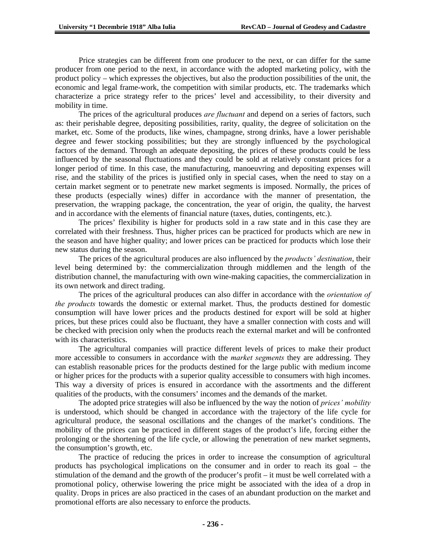Price strategies can be different from one producer to the next, or can differ for the same producer from one period to the next, in accordance with the adopted marketing policy, with the product policy – which expresses the objectives, but also the production possibilities of the unit, the economic and legal frame-work, the competition with similar products, etc. The trademarks which characterize a price strategy refer to the prices' level and accessibility, to their diversity and mobility in time.

The prices of the agricultural produces *are fluctuant* and depend on a series of factors, such as: their perishable degree, depositing possibilities, rarity, quality, the degree of solicitation on the market, etc. Some of the products, like wines, champagne, strong drinks, have a lower perishable degree and fewer stocking possibilities; but they are strongly influenced by the psychological factors of the demand. Through an adequate depositing, the prices of these products could be less influenced by the seasonal fluctuations and they could be sold at relatively constant prices for a longer period of time. In this case, the manufacturing, manoeuvring and depositing expenses will rise, and the stability of the prices is justified only in special cases, when the need to stay on a certain market segment or to penetrate new market segments is imposed. Normally, the prices of these products (especially wines) differ in accordance with the manner of presentation, the preservation, the wrapping package, the concentration, the year of origin, the quality, the harvest and in accordance with the elements of financial nature (taxes, duties, contingents, etc.).

The prices' flexibility is higher for products sold in a raw state and in this case they are correlated with their freshness. Thus, higher prices can be practiced for products which are new in the season and have higher quality; and lower prices can be practiced for products which lose their new status during the season.

The prices of the agricultural produces are also influenced by the *products' destination*, their level being determined by: the commercialization through middlemen and the length of the distribution channel, the manufacturing with own wine-making capacities, the commercialization in its own network and direct trading.

The prices of the agricultural produces can also differ in accordance with the *orientation of the products* towards the domestic or external market. Thus, the products destined for domestic consumption will have lower prices and the products destined for export will be sold at higher prices, but these prices could also be fluctuant, they have a smaller connection with costs and will be checked with precision only when the products reach the external market and will be confronted with its characteristics.

The agricultural companies will practice different levels of prices to make their product more accessible to consumers in accordance with the *market segments* they are addressing. They can establish reasonable prices for the products destined for the large public with medium income or higher prices for the products with a superior quality accessible to consumers with high incomes. This way a diversity of prices is ensured in accordance with the assortments and the different qualities of the products, with the consumers' incomes and the demands of the market.

The adopted price strategies will also be influenced by the way the notion of *prices' mobility* is understood, which should be changed in accordance with the trajectory of the life cycle for agricultural produce, the seasonal oscillations and the changes of the market's conditions. The mobility of the prices can be practiced in different stages of the product's life, forcing either the prolonging or the shortening of the life cycle, or allowing the penetration of new market segments, the consumption's growth, etc.

The practice of reducing the prices in order to increase the consumption of agricultural products has psychological implications on the consumer and in order to reach its goal – the stimulation of the demand and the growth of the producer's profit – it must be well correlated with a promotional policy, otherwise lowering the price might be associated with the idea of a drop in quality. Drops in prices are also practiced in the cases of an abundant production on the market and promotional efforts are also necessary to enforce the products.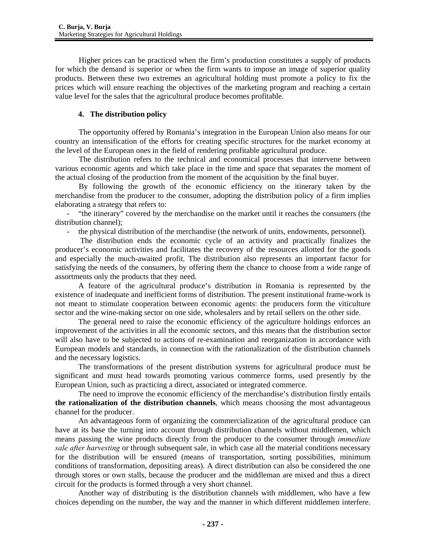Higher prices can be practiced when the firm's production constitutes a supply of products for which the demand is superior or when the firm wants to impose an image of superior quality products. Between these two extremes an agricultural holding must promote a policy to fix the prices which will ensure reaching the objectives of the marketing program and reaching a certain value level for the sales that the agricultural produce becomes profitable.

### **4. The distribution policy**

The opportunity offered by Romania's integration in the European Union also means for our country an intensification of the efforts for creating specific structures for the market economy at the level of the European ones in the field of rendering profitable agricultural produce.

The distribution refers to the technical and economical processes that intervene between various economic agents and which take place in the time and space that separates the moment of the actual closing of the production from the moment of the acquisition by the final buyer.

By following the growth of the economic efficiency on the itinerary taken by the merchandise from the producer to the consumer, adopting the distribution policy of a firm implies elaborating a strategy that refers to:

- "the itinerary" covered by the merchandise on the market until it reaches the consumers (the distribution channel);

- the physical distribution of the merchandise (the network of units, endowments, personnel).

 The distribution ends the economic cycle of an activity and practically finalizes the producer's economic activities and facilitates the recovery of the resources allotted for the goods and especially the much-awaited profit. The distribution also represents an important factor for satisfying the needs of the consumers, by offering them the chance to choose from a wide range of assortments only the products that they need.

A feature of the agricultural produce's distribution in Romania is represented by the existence of inadequate and inefficient forms of distribution. The present institutional frame-work is not meant to stimulate cooperation between economic agents: the producers form the viticulture sector and the wine-making sector on one side, wholesalers and by retail sellers on the other side.

The general need to raise the economic efficiency of the agriculture holdings enforces an improvement of the activities in all the economic sectors, and this means that the distribution sector will also have to be subjected to actions of re-examination and reorganization in accordance with European models and standards, in connection with the rationalization of the distribution channels and the necessary logistics.

The transformations of the present distribution systems for agricultural produce must be significant and must head towards promoting various commerce forms, used presently by the European Union, such as practicing a direct, associated or integrated commerce.

The need to improve the economic efficiency of the merchandise's distribution firstly entails **the rationalization of the distribution channels**, which means choosing the most advantageous channel for the producer.

An advantageous form of organizing the commercialization of the agricultural produce can have at its base the turning into account through distribution channels without middlemen, which means passing the wine products directly from the producer to the consumer through *immediate sale after harvesting* or through subsequent sale, in which case all the material conditions necessary for the distribution will be ensured (means of transportation, sorting possibilities, minimum conditions of transformation, depositing areas). A direct distribution can also be considered the one through stores or own stalls, because the producer and the middleman are mixed and thus a direct circuit for the products is formed through a very short channel.

Another way of distributing is the distribution channels with middlemen, who have a few choices depending on the number, the way and the manner in which different middlemen interfere.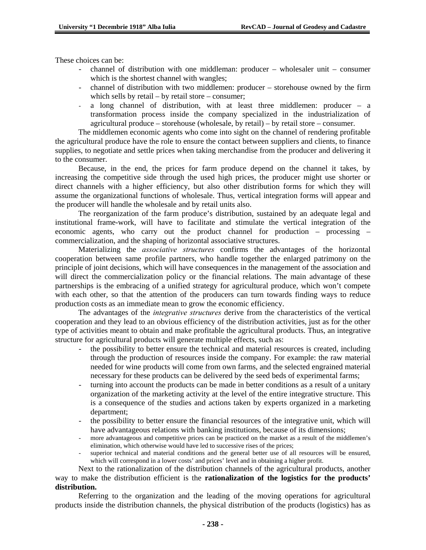These choices can be:

- $channel$  of distribution with one middleman: producer wholesaler unit consumer which is the shortest channel with wangles;
- channel of distribution with two middlemen: producer storehouse owned by the firm which sells by retail – by retail store – consumer;
- a long channel of distribution, with at least three middlemen: producer  $-$  a transformation process inside the company specialized in the industrialization of agricultural produce – storehouse (wholesale, by retail) – by retail store – consumer.

The middlemen economic agents who come into sight on the channel of rendering profitable the agricultural produce have the role to ensure the contact between suppliers and clients, to finance supplies, to negotiate and settle prices when taking merchandise from the producer and delivering it to the consumer.

Because, in the end, the prices for farm produce depend on the channel it takes, by increasing the competitive side through the used high prices, the producer might use shorter or direct channels with a higher efficiency, but also other distribution forms for which they will assume the organizational functions of wholesale. Thus, vertical integration forms will appear and the producer will handle the wholesale and by retail units also.

The reorganization of the farm produce's distribution, sustained by an adequate legal and institutional frame-work, will have to facilitate and stimulate the vertical integration of the economic agents, who carry out the product channel for production – processing – commercialization, and the shaping of horizontal associative structures.

Materializing the *associative structures* confirms the advantages of the horizontal cooperation between same profile partners, who handle together the enlarged patrimony on the principle of joint decisions, which will have consequences in the management of the association and will direct the commercialization policy or the financial relations. The main advantage of these partnerships is the embracing of a unified strategy for agricultural produce, which won't compete with each other, so that the attention of the producers can turn towards finding ways to reduce production costs as an immediate mean to grow the economic efficiency.

The advantages of the *integrative structures* derive from the characteristics of the vertical cooperation and they lead to an obvious efficiency of the distribution activities, just as for the other type of activities meant to obtain and make profitable the agricultural products. Thus, an integrative structure for agricultural products will generate multiple effects, such as:

- the possibility to better ensure the technical and material resources is created, including through the production of resources inside the company. For example: the raw material needed for wine products will come from own farms, and the selected engrained material necessary for these products can be delivered by the seed beds of experimental farms;
- turning into account the products can be made in better conditions as a result of a unitary organization of the marketing activity at the level of the entire integrative structure. This is a consequence of the studies and actions taken by experts organized in a marketing department;
- the possibility to better ensure the financial resources of the integrative unit, which will have advantageous relations with banking institutions, because of its dimensions;<br>- more advantageous and competitive prices can be practiced on the market as a result of the middlemen's
- elimination, which otherwise would have led to successive rises of the prices;
- superior technical and material conditions and the general better use of all resources will be ensured, which will correspond in a lower costs' and prices' level and in obtaining a higher profit.

Next to the rationalization of the distribution channels of the agricultural products, another way to make the distribution efficient is the **rationalization of the logistics for the products' distribution.** 

Referring to the organization and the leading of the moving operations for agricultural products inside the distribution channels, the physical distribution of the products (logistics) has as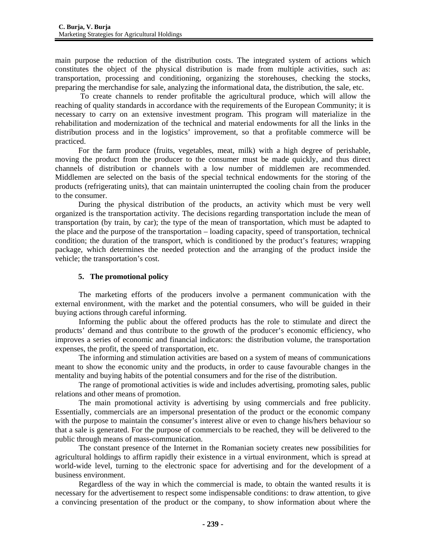main purpose the reduction of the distribution costs. The integrated system of actions which constitutes the object of the physical distribution is made from multiple activities, such as: transportation, processing and conditioning, organizing the storehouses, checking the stocks, preparing the merchandise for sale, analyzing the informational data, the distribution, the sale, etc.

 To create channels to render profitable the agricultural produce, which will allow the reaching of quality standards in accordance with the requirements of the European Community; it is necessary to carry on an extensive investment program. This program will materialize in the rehabilitation and modernization of the technical and material endowments for all the links in the distribution process and in the logistics' improvement, so that a profitable commerce will be practiced.

For the farm produce (fruits, vegetables, meat, milk) with a high degree of perishable, moving the product from the producer to the consumer must be made quickly, and thus direct channels of distribution or channels with a low number of middlemen are recommended. Middlemen are selected on the basis of the special technical endowments for the storing of the products (refrigerating units), that can maintain uninterrupted the cooling chain from the producer to the consumer.

During the physical distribution of the products, an activity which must be very well organized is the transportation activity. The decisions regarding transportation include the mean of transportation (by train, by car); the type of the mean of transportation, which must be adapted to the place and the purpose of the transportation – loading capacity, speed of transportation, technical condition; the duration of the transport, which is conditioned by the product's features; wrapping package, which determines the needed protection and the arranging of the product inside the vehicle; the transportation's cost.

### **5. The promotional policy**

The marketing efforts of the producers involve a permanent communication with the external environment, with the market and the potential consumers, who will be guided in their buying actions through careful informing.

Informing the public about the offered products has the role to stimulate and direct the products' demand and thus contribute to the growth of the producer's economic efficiency, who improves a series of economic and financial indicators: the distribution volume, the transportation expenses, the profit, the speed of transportation, etc.

The informing and stimulation activities are based on a system of means of communications meant to show the economic unity and the products, in order to cause favourable changes in the mentality and buying habits of the potential consumers and for the rise of the distribution.

The range of promotional activities is wide and includes advertising, promoting sales, public relations and other means of promotion.

The main promotional activity is advertising by using commercials and free publicity. Essentially, commercials are an impersonal presentation of the product or the economic company with the purpose to maintain the consumer's interest alive or even to change his/hers behaviour so that a sale is generated. For the purpose of commercials to be reached, they will be delivered to the public through means of mass-communication.

The constant presence of the Internet in the Romanian society creates new possibilities for agricultural holdings to affirm rapidly their existence in a virtual environment, which is spread at world-wide level, turning to the electronic space for advertising and for the development of a business environment.

Regardless of the way in which the commercial is made, to obtain the wanted results it is necessary for the advertisement to respect some indispensable conditions: to draw attention, to give a convincing presentation of the product or the company, to show information about where the